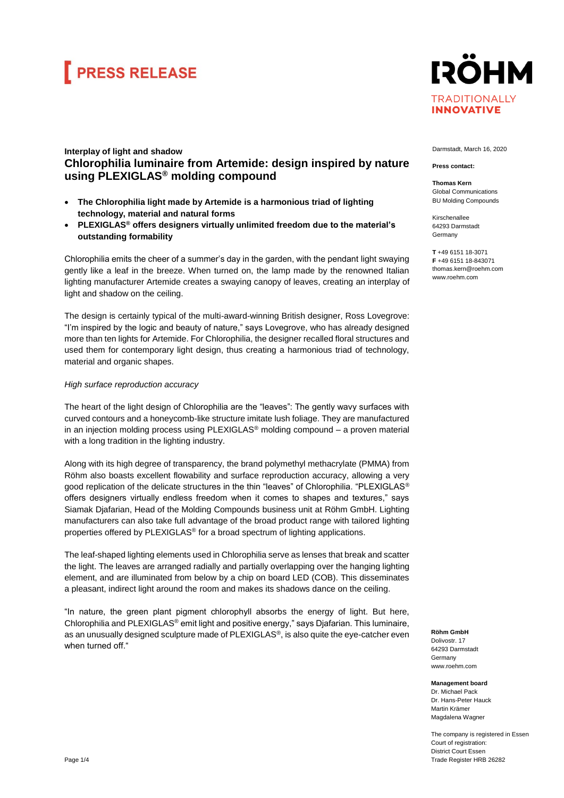### **FRESS RELEASE**

#### **IRÖHM TRADITIONALLY INNOVATIVE**

#### **Interplay of light and shadow Chlorophilia luminaire from Artemide: design inspired by nature using PLEXIGLAS® molding compound**

- **The Chlorophilia light made by Artemide is a harmonious triad of lighting technology, material and natural forms**
- **PLEXIGLAS® offers designers virtually unlimited freedom due to the material's outstanding formability**

Chlorophilia emits the cheer of a summer's day in the garden, with the pendant light swaying gently like a leaf in the breeze. When turned on, the lamp made by the renowned Italian lighting manufacturer Artemide creates a swaying canopy of leaves, creating an interplay of light and shadow on the ceiling.

The design is certainly typical of the multi-award-winning British designer, Ross Lovegrove: "I'm inspired by the logic and beauty of nature," says Lovegrove, who has already designed more than ten lights for Artemide. For Chlorophilia, the designer recalled floral structures and used them for contemporary light design, thus creating a harmonious triad of technology, material and organic shapes.

#### *High surface reproduction accuracy*

The heart of the light design of Chlorophilia are the "leaves": The gently wavy surfaces with curved contours and a honeycomb-like structure imitate lush foliage. They are manufactured in an injection molding process using  $PLEXIGLAS<sup>®</sup>$  molding compound  $-$  a proven material with a long tradition in the lighting industry.

Along with its high degree of transparency, the brand polymethyl methacrylate (PMMA) from Röhm also boasts excellent flowability and surface reproduction accuracy, allowing a very good replication of the delicate structures in the thin "leaves" of Chlorophilia. "PLEXIGLAS® offers designers virtually endless freedom when it comes to shapes and textures," says Siamak Djafarian, Head of the Molding Compounds business unit at Röhm GmbH. Lighting manufacturers can also take full advantage of the broad product range with tailored lighting properties offered by PLEXIGLAS® for a broad spectrum of lighting applications.

The leaf-shaped lighting elements used in Chlorophilia serve as lenses that break and scatter the light. The leaves are arranged radially and partially overlapping over the hanging lighting element, and are illuminated from below by a chip on board LED (COB). This disseminates a pleasant, indirect light around the room and makes its shadows dance on the ceiling.

"In nature, the green plant pigment chlorophyll absorbs the energy of light. But here, Chlorophilia and PLEXIGLAS® emit light and positive energy," says Djafarian. This luminaire, as an unusually designed sculpture made of PLEXIGLAS<sup>®</sup>, is also quite the eye-catcher even when turned off."

Darmstadt, March 16, 2020

**Press contact:**

**Thomas Kern** Global Communications BU Molding Compounds

Kirschenallee 64293 Darmstadt Germany

**T** +49 6151 18-3071 **F** +49 6151 18-84307 thomas.kern@roehm.com www.roehm.com

**Röhm GmbH** Dolivostr. 17 64293 Darmstadt Germany www.roehm.com

**Management board** Dr. Michael Pack Dr. Hans-Peter Hauck Martin Krämer Magdalena Wagner

The company is registered in Essen Court of registration: District Court Essen Trade Register HRB 26282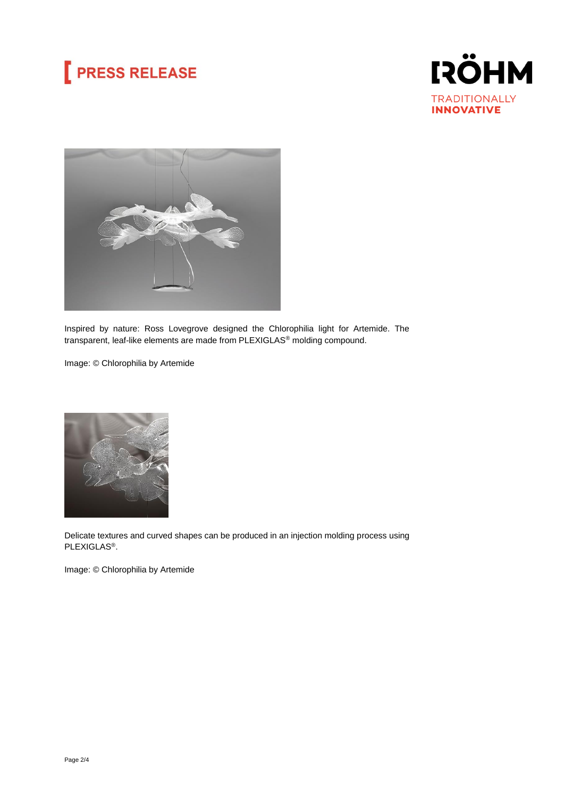## **PRESS RELEASE**





Inspired by nature: Ross Lovegrove designed the Chlorophilia light for Artemide. The transparent, leaf-like elements are made from PLEXIGLAS® molding compound.

Image: © Chlorophilia by Artemide



Delicate textures and curved shapes can be produced in an injection molding process using PLEXIGLAS®.

Image: © Chlorophilia by Artemide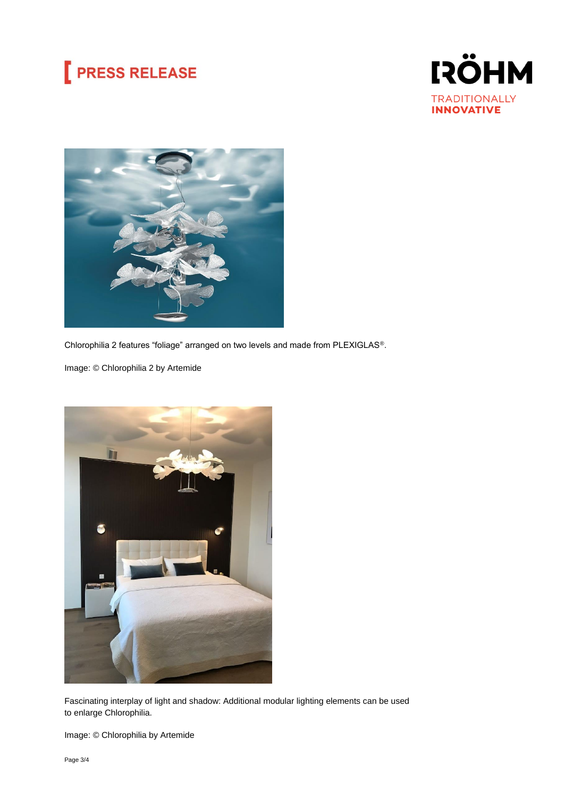### **PRESS RELEASE**





Chlorophilia 2 features "foliage" arranged on two levels and made from PLEXIGLAS®.

Image: © Chlorophilia 2 by Artemide



Fascinating interplay of light and shadow: Additional modular lighting elements can be used to enlarge Chlorophilia.

Image: © Chlorophilia by Artemide